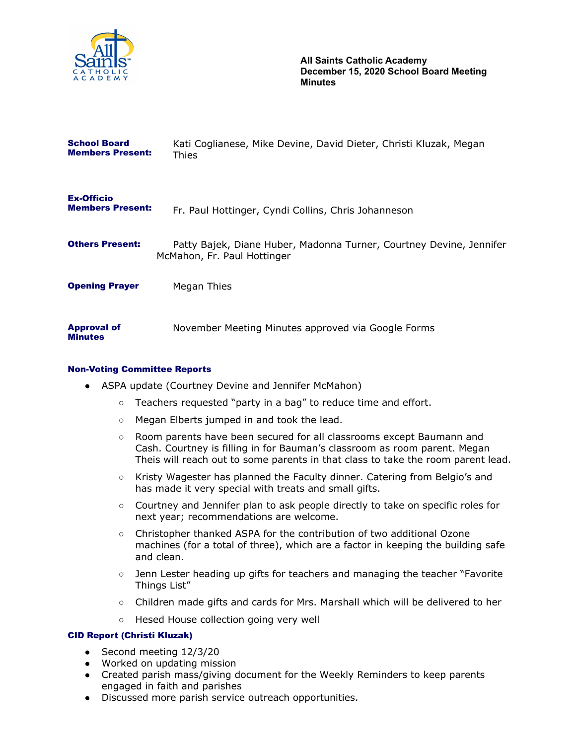

| <b>School Board</b><br><b>Members Present:</b> | Kati Coglianese, Mike Devine, David Dieter, Christi Kluzak, Megan<br>Thies                         |
|------------------------------------------------|----------------------------------------------------------------------------------------------------|
| <b>Ex-Officio</b><br><b>Members Present:</b>   | Fr. Paul Hottinger, Cyndi Collins, Chris Johanneson                                                |
| <b>Others Present:</b>                         | Patty Bajek, Diane Huber, Madonna Turner, Courtney Devine, Jennifer<br>McMahon, Fr. Paul Hottinger |
| <b>Opening Prayer</b>                          | Megan Thies                                                                                        |
| <b>Approval of</b><br><b>Minutes</b>           | November Meeting Minutes approved via Google Forms                                                 |

### Non-Voting Committee Reports

- ASPA update (Courtney Devine and Jennifer McMahon)
	- Teachers requested "party in a bag" to reduce time and effort.
	- Megan Elberts jumped in and took the lead.
	- Room parents have been secured for all classrooms except Baumann and Cash. Courtney is filling in for Bauman's classroom as room parent. Megan Theis will reach out to some parents in that class to take the room parent lead.
	- Kristy Wagester has planned the Faculty dinner. Catering from Belgio's and has made it very special with treats and small gifts.
	- Courtney and Jennifer plan to ask people directly to take on specific roles for next year; recommendations are welcome.
	- Christopher thanked ASPA for the contribution of two additional Ozone machines (for a total of three), which are a factor in keeping the building safe and clean.
	- Jenn Lester heading up gifts for teachers and managing the teacher "Favorite Things List"
	- Children made gifts and cards for Mrs. Marshall which will be delivered to her
	- Hesed House collection going very well

#### CID Report (Christi Kluzak)

- Second meeting 12/3/20
- Worked on updating mission
- Created parish mass/giving document for the Weekly Reminders to keep parents engaged in faith and parishes
- Discussed more parish service outreach opportunities.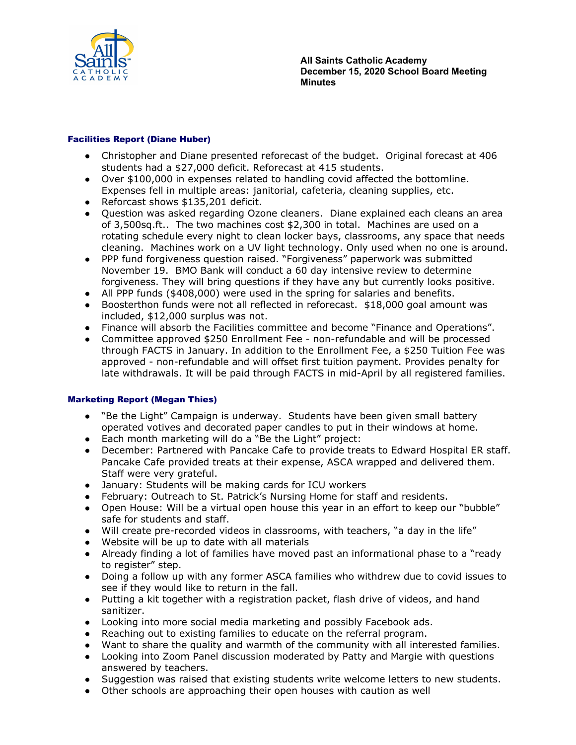

### Facilities Report (Diane Huber)

- Christopher and Diane presented reforecast of the budget. Original forecast at 406 students had a \$27,000 deficit. Reforecast at 415 students.
- Over \$100,000 in expenses related to handling covid affected the bottomline. Expenses fell in multiple areas: janitorial, cafeteria, cleaning supplies, etc.
- Reforcast shows \$135,201 deficit.
- Question was asked regarding Ozone cleaners. Diane explained each cleans an area of 3,500sq.ft.. The two machines cost \$2,300 in total. Machines are used on a rotating schedule every night to clean locker bays, classrooms, any space that needs cleaning. Machines work on a UV light technology. Only used when no one is around.
- PPP fund forgiveness question raised. "Forgiveness" paperwork was submitted November 19. BMO Bank will conduct a 60 day intensive review to determine forgiveness. They will bring questions if they have any but currently looks positive.
- All PPP funds (\$408,000) were used in the spring for salaries and benefits.
- Boosterthon funds were not all reflected in reforecast. \$18,000 goal amount was included, \$12,000 surplus was not.
- Finance will absorb the Facilities committee and become "Finance and Operations".
- Committee approved \$250 Enrollment Fee non-refundable and will be processed through FACTS in January. In addition to the Enrollment Fee, a \$250 Tuition Fee was approved - non-refundable and will offset first tuition payment. Provides penalty for late withdrawals. It will be paid through FACTS in mid-April by all registered families.

## Marketing Report (Megan Thies)

- "Be the Light" Campaign is underway. Students have been given small battery operated votives and decorated paper candles to put in their windows at home.
- Each month marketing will do a "Be the Light" project:
- December: Partnered with Pancake Cafe to provide treats to Edward Hospital ER staff. Pancake Cafe provided treats at their expense, ASCA wrapped and delivered them. Staff were very grateful.
- January: Students will be making cards for ICU workers
- February: Outreach to St. Patrick's Nursing Home for staff and residents.
- Open House: Will be a virtual open house this year in an effort to keep our "bubble" safe for students and staff.
- Will create pre-recorded videos in classrooms, with teachers, "a day in the life"
- Website will be up to date with all materials
- Already finding a lot of families have moved past an informational phase to a "ready to register" step.
- Doing a follow up with any former ASCA families who withdrew due to covid issues to see if they would like to return in the fall.
- Putting a kit together with a registration packet, flash drive of videos, and hand sanitizer.
- Looking into more social media marketing and possibly Facebook ads.
- Reaching out to existing families to educate on the referral program.
- Want to share the quality and warmth of the community with all interested families.
- Looking into Zoom Panel discussion moderated by Patty and Margie with questions answered by teachers.
- Suggestion was raised that existing students write welcome letters to new students.
- Other schools are approaching their open houses with caution as well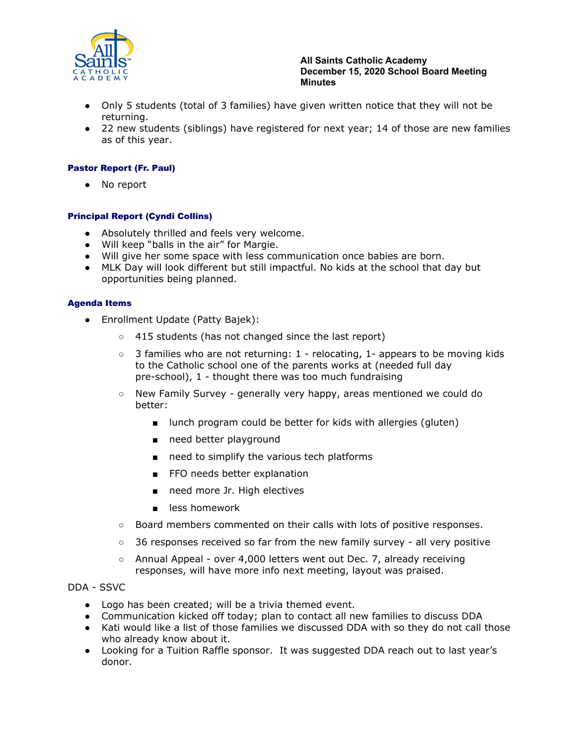

#### **All Saints Catholic Academy December 15, 2020 School Board Meeting Minutes**

- Only 5 students (total of 3 families) have given written notice that they will not be returning.
- 22 new students (siblings) have registered for next year; 14 of those are new families as of this year.

## Pastor Report (Fr. Paul)

● No report

## Principal Report (Cyndi Collins)

- Absolutely thrilled and feels very welcome.
- Will keep "balls in the air" for Margie.
- Will give her some space with less communication once babies are born.
- MLK Day will look different but still impactful. No kids at the school that day but opportunities being planned.

#### Agenda Items

- Enrollment Update (Patty Bajek):
	- 415 students (has not changed since the last report)
	- $\circ$  3 families who are not returning: 1 relocating, 1- appears to be moving kids to the Catholic school one of the parents works at (needed full day pre-school), 1 - thought there was too much fundraising
	- New Family Survey generally very happy, areas mentioned we could do better:
		- lunch program could be better for kids with allergies (gluten)
		- need better playground
		- need to simplify the various tech platforms
		- FFO needs better explanation
		- need more Jr. High electives
		- less homework
	- Board members commented on their calls with lots of positive responses.
	- $\circ$  36 responses received so far from the new family survey all very positive
	- Annual Appeal over 4,000 letters went out Dec. 7, already receiving responses, will have more info next meeting, layout was praised.

#### DDA - SSVC

- Logo has been created; will be a trivia themed event.
- Communication kicked off today; plan to contact all new families to discuss DDA
- Kati would like a list of those families we discussed DDA with so they do not call those who already know about it.
- Looking for a Tuition Raffle sponsor. It was suggested DDA reach out to last year's donor.